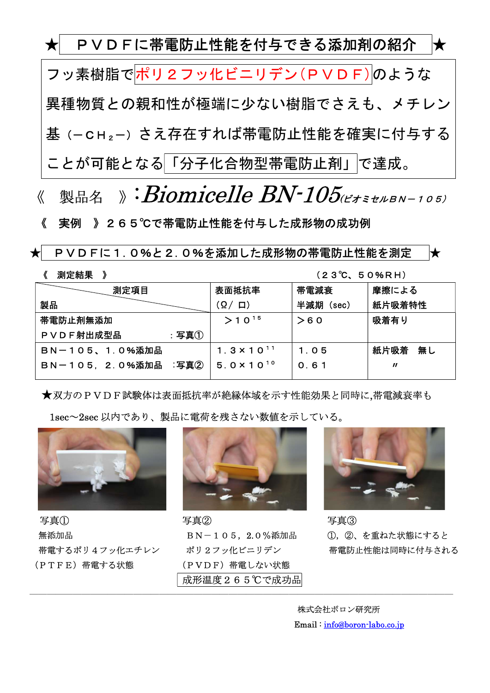★ PVDFに帯電防止性能を付与できる添加剤の紹介 ★ フッ素樹脂でポリ2フッ化ビニリデン(PVDF)のような 異種物質との親和性が極端に少ない樹脂でさえも、メチレン 基(-CH2-)さえ存在すれば帯電防止性能を確実に付与する ことが可能となる「分子化合物型帯電防止剤」で達成。

《 製品名 》: Biomicelle BN-105(EXEXEN-105)

《 実例 》265℃で帯電防止性能を付与した成形物の成功例

★ PVDFに1.0%と2.0%を添加した成形物の帯電防止性能を測定 ★

<sup>《</sup> 測定結果 》 (23℃、50%RH)

| 測定項目                  | 表面抵抗率                | 帯電減衰      | 摩擦による                      |
|-----------------------|----------------------|-----------|----------------------------|
| 製品                    | (요/ 口)               | 半減期 (sec) | 紙片吸着特性                     |
| 帯電防止剤無添加              | $>10^{15}$           | >60       | 吸着有り                       |
| PVDF射出成型品<br>:写真①     |                      |           |                            |
| <b>BN-105、1.0%添加品</b> | $1.3 \times 10^{11}$ | 1.05      | 紙片吸着 無し                    |
| BN-105, 2.0%添加品 :写真2  | $5.0 \times 10^{10}$ | 0.61      | $\boldsymbol{\mathit{II}}$ |
|                       |                      |           |                            |

★双方のPVDF試験体は表面抵抗率が絶縁体域を示す性能効果と同時に,帯電減衰率も

1sec~2sec 以内であり、製品に電荷を残さない数値を示している。



写真① 写真② 写真③ 無添加品 **BN-105, 2.0%添加品 (D, ②、を重ねた状態にすると** (PTFE)帯電する状態 (PVDF)帯電しない状態



成形温度265℃で成功品

―――――――――――――――――――――――――――――――――――――――――――――――――



帯電するポリ4フッ化エチレン ポリ2フッ化ビニリデン 帯電防止性能は同時に付与される

 株式会社ボロン研究所 Email : info@boron-labo.co.jp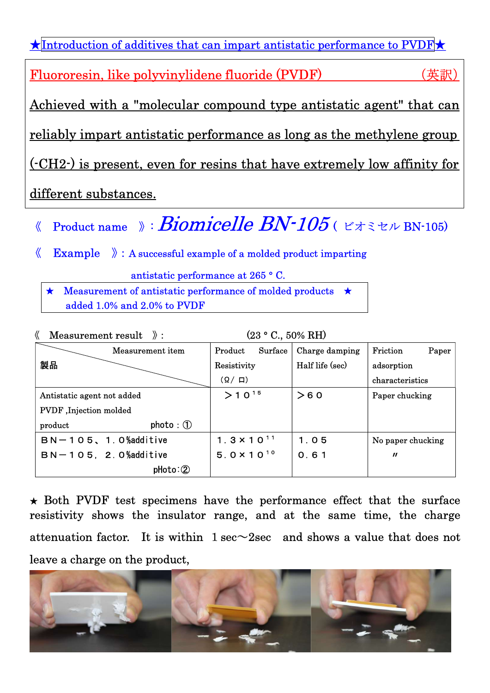| $\star$ Introduction of additives that can impart antistatic performance to PVDF $\star$ |    |
|------------------------------------------------------------------------------------------|----|
| Fluororesin, like polyvinylidene fluoride (PVDF)                                         | 英訳 |
| Achieved with a "molecular compound type antistatic agent" that can                      |    |
| <u>reliably impart antistatic performance as long as the methylene group</u>             |    |
| (CH2) is present, even for resins that have extremely low affinity for                   |    |
| different substances.                                                                    |    |

- 《 Product name 》: **Biomicelle BN-105** (ビオミセル BN-105)
- $\langle \mathcal{L} \rangle$  Example  $\langle \mathcal{L} \rangle$  : A successful example of a molded product imparting

antistatic performance at 265 ° C.

★ Measurement of antistatic performance of molded products ★ added 1.0% and 2.0% to PVDF

| Measurement result $\mathcal{E}$ : | $(23 ° C., 50\% RH)$ |                 |                            |
|------------------------------------|----------------------|-----------------|----------------------------|
| Measurement item                   | Surface<br>Product   | Charge damping  | Friction<br>Paper          |
| 製品                                 | Resistivity          | Half life (sec) | adsorption                 |
|                                    | $(\Omega / \Box)$    |                 | characteristics            |
| Antistatic agent not added         | $>10^{15}$           | >60             | Paper chucking             |
| PVDF, Injection molded             |                      |                 |                            |
| photo:①<br>product                 |                      |                 |                            |
| $BN-105$ , 1.0% additive           | $1.3 \times 10^{11}$ | 1.05            | No paper chucking          |
| $BN-105$ , 2.0% additive           | $5.0 \times 10^{10}$ | 0.61            | $\boldsymbol{\mathit{II}}$ |
| $photo: \circled{2}$               |                      |                 |                            |

 $\star$  Both PVDF test specimens have the performance effect that the surface resistivity shows the insulator range, and at the same time, the charge attenuation factor. It is within  $1 \text{ sec} \sim 2 \text{ sec}$  and shows a value that does not leave a charge on the product,